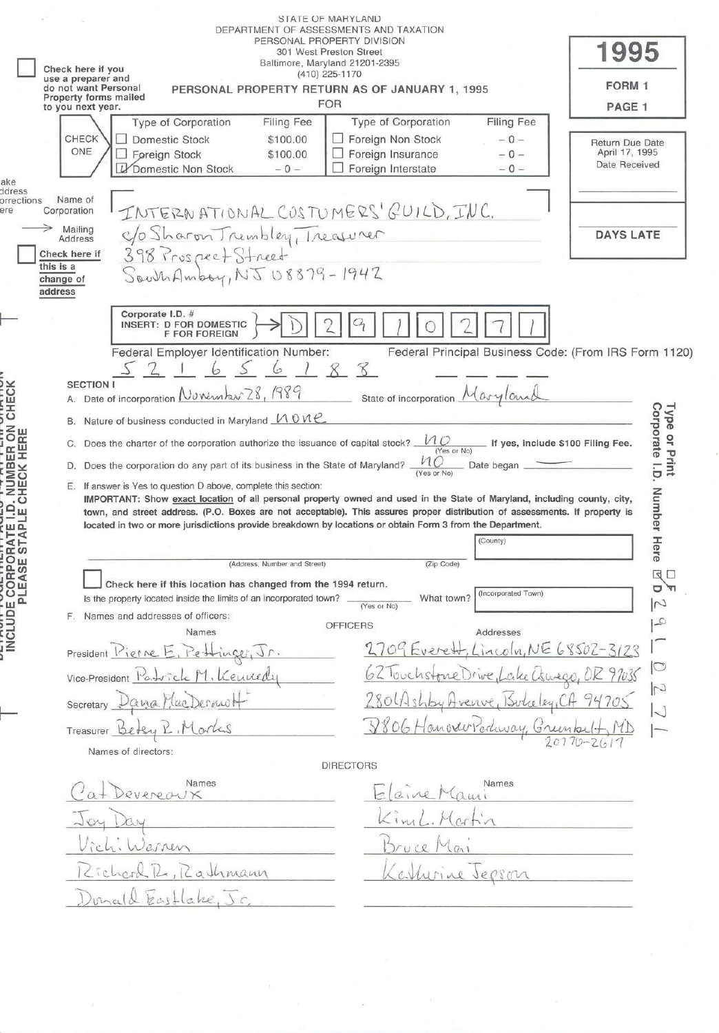|                                                                                                                  | <b>STATE OF MARYLAND</b><br>DEPARTMENT OF ASSESSMENTS AND TAXATION<br>PERSONAL PROPERTY DIVISION<br>301 West Preston Street<br>Baltimore, Maryland 21201-2395<br>Check here if you<br>$(410)$ 225-1170<br>use a preparer and<br>do not want Personal<br>PERSONAL PROPERTY RETURN AS OF JANUARY 1, 1995<br>Property forms mailed<br><b>FOR</b><br>to you next year.<br>Type of Corporation<br>Filing Fee<br><b>CHECK</b><br><b>Domestic Stock</b><br>\$100.00                                                                                                                                                                                                                                                                                                                                                                                                                                                                                                                    | Type of Corporation<br><b>Filing Fee</b><br>Foreign Non Stock<br>$-0-$                                                                                                                                                                                                                                                                                                                                                                                                                                                                                                                                                                                                                                                        | 1995<br>FORM 1<br>PAGE 1                                                                         |
|------------------------------------------------------------------------------------------------------------------|---------------------------------------------------------------------------------------------------------------------------------------------------------------------------------------------------------------------------------------------------------------------------------------------------------------------------------------------------------------------------------------------------------------------------------------------------------------------------------------------------------------------------------------------------------------------------------------------------------------------------------------------------------------------------------------------------------------------------------------------------------------------------------------------------------------------------------------------------------------------------------------------------------------------------------------------------------------------------------|-------------------------------------------------------------------------------------------------------------------------------------------------------------------------------------------------------------------------------------------------------------------------------------------------------------------------------------------------------------------------------------------------------------------------------------------------------------------------------------------------------------------------------------------------------------------------------------------------------------------------------------------------------------------------------------------------------------------------------|--------------------------------------------------------------------------------------------------|
| ake                                                                                                              | ONE<br>Foreign Stock<br>\$100.00<br>Domestic Non Stock<br>$-0 -$                                                                                                                                                                                                                                                                                                                                                                                                                                                                                                                                                                                                                                                                                                                                                                                                                                                                                                                | Foreign Insurance<br>$-0-$<br>Foreign Interstate<br>$-0-$                                                                                                                                                                                                                                                                                                                                                                                                                                                                                                                                                                                                                                                                     | Return Due Date<br>April 17, 1995<br>Date Received                                               |
| ddress<br>orrections<br>ere                                                                                      | Name of<br>INTERNATIONAL COSTUMERS' GUILD, INC.<br>Corporation<br>→<br>Mailing<br>C/o Sharon Trembley, Treasurer<br>398 Pruspect Street<br>South Amboy, NJ 08879-1942<br>Address<br>Check here if<br>this is a<br>change of<br>address                                                                                                                                                                                                                                                                                                                                                                                                                                                                                                                                                                                                                                                                                                                                          |                                                                                                                                                                                                                                                                                                                                                                                                                                                                                                                                                                                                                                                                                                                               | <b>DAYS LATE</b>                                                                                 |
| SER ON CHECK<br>NUMBI<br>HECK<br>$\cdot$ O<br>ą<br>ш<br>W Q<br>RAT<br>STA<br>CORPO<br>S<br>Ш<br>NCLUDE CC<br>PLE | Corporate I.D. #<br>INSERT: D FOR DOMESTIC<br><b>F FOR FOREIGN</b><br>Federal Employer Identification Number:<br>188<br>6<br><b>SECTION I</b><br>A. Date of incorporation November 28, 1989<br>B. Nature of business conducted in Maryland $MOMC$<br>C. Does the charter of the corporation authorize the issuance of capital stock?<br>D. Does the corporation do any part of its business in the State of Maryland?<br>E. If answer is Yes to question D above, complete this section:<br>located in two or more jurisdictions provide breakdown by locations or obtain Form 3 from the Department.<br>(Address, Number and Street)<br>Check here if this location has changed from the 1994 return.<br>Is the property located inside the limits of an incorporated town?<br>F. Names and addresses of officers:<br>Names<br>President <u>Pierre E. Pettinger</u><br>Vice-President Patrick M. Kennedy<br>Secretary Dana MacDermot<br>Treasurer Betsy<br>Names of directors: | Federal Principal Business Code: (From IRS Form 1120)<br>State of incorporation Maryland<br>If yes, include \$100 Filing Fee.<br>(Yes or No)<br>$n_{O}$<br>Date began.<br>(Yes or No<br>IMPORTANT: Show exact location of all personal property owned and used in the State of Maryland, including county, city,<br>town, and street address. (P.O. Boxes are not acceptable). This assures proper distribution of assessments. If property is<br>(County)<br>(Zip Code)<br>(Incorporated Town)<br>What town?<br>(Yes or No)<br><b>OFFICERS</b><br>Addresses<br>2709 Everett, Lincoln, NE 68502-3123<br>62 Touchstone Drive,L<br>cike Coureço, OR 97035<br>280 Ulshby Hvenve<br>9806 Hanverrockway, Green<br><b>DIRECTORS</b> | Corporate I.D.<br>Type<br>or Print<br>Number<br>Here<br>$\mathbb{Z}$<br>$\Box$<br>$\overline{c}$ |
|                                                                                                                  | Names<br>evereaux<br>erren                                                                                                                                                                                                                                                                                                                                                                                                                                                                                                                                                                                                                                                                                                                                                                                                                                                                                                                                                      | Names                                                                                                                                                                                                                                                                                                                                                                                                                                                                                                                                                                                                                                                                                                                         |                                                                                                  |
|                                                                                                                  | Lichard R. Rathmann<br>unald Eastlake, Jc                                                                                                                                                                                                                                                                                                                                                                                                                                                                                                                                                                                                                                                                                                                                                                                                                                                                                                                                       | urine Jepson                                                                                                                                                                                                                                                                                                                                                                                                                                                                                                                                                                                                                                                                                                                  |                                                                                                  |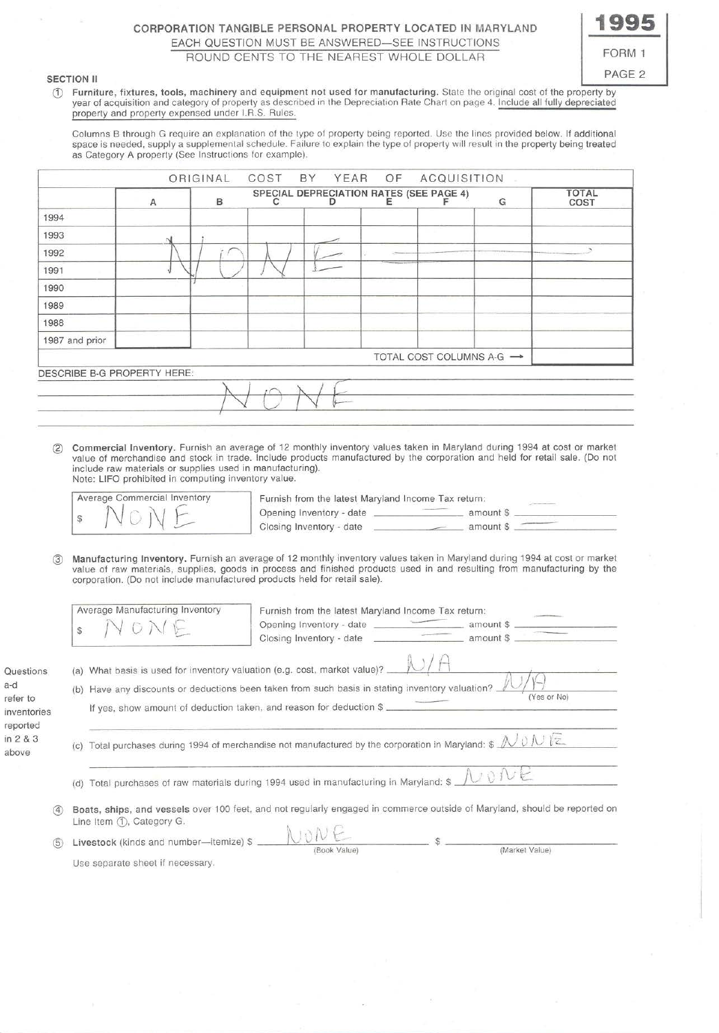# CORPORATION TANGIBLE PERSONAL PROPERTY LOCATED IN MARYLAND EACH QUESTION MUST BE ANSWERED-SEE INSTRUCTIONS ROUND CENTS TO THE NEAREST WHOLE DOLLAR

# **1995**  FORM 1 SECTION II PAGE 2

Use separate sheet if necessary.

CD Furniture, fixtures, tools, machinery and equipment not used for manufacturing. State the original cost of the property by year of acquisition and category of property as described in the Depreciation Rate Chart on page 4. Include all fully depreciated property and property expensed under I.R.S. Rules.

Columns B through G require an explanation of the type of property being reported. Use the lines provided below. If additional space is needed, supply a supplemental schedule. Failure to explain the type of property will result in the property being treated as Category A property (See Instructions for example).

|                      |   |                                 | ORIGINAL | COST | BY<br>YEAR                                                                                         | OF | <b>ACQUISITION</b>                                                                                                                    |   |                                                                                                                                                                                                                                                        |
|----------------------|---|---------------------------------|----------|------|----------------------------------------------------------------------------------------------------|----|---------------------------------------------------------------------------------------------------------------------------------------|---|--------------------------------------------------------------------------------------------------------------------------------------------------------------------------------------------------------------------------------------------------------|
|                      |   | Α                               | B.       |      | SPECIAL DEPRECIATION RATES (SEE PAGE 4)                                                            | Е  |                                                                                                                                       | G | <b>TOTAL</b><br>COST                                                                                                                                                                                                                                   |
| 1994                 |   |                                 |          |      |                                                                                                    |    |                                                                                                                                       |   |                                                                                                                                                                                                                                                        |
| 1993                 |   |                                 |          |      |                                                                                                    |    |                                                                                                                                       |   |                                                                                                                                                                                                                                                        |
| 1992                 |   |                                 |          |      |                                                                                                    |    |                                                                                                                                       |   |                                                                                                                                                                                                                                                        |
| 1991                 |   |                                 |          |      |                                                                                                    |    |                                                                                                                                       |   |                                                                                                                                                                                                                                                        |
| 1990                 |   |                                 |          |      |                                                                                                    |    |                                                                                                                                       |   |                                                                                                                                                                                                                                                        |
| 1989                 |   |                                 |          |      |                                                                                                    |    |                                                                                                                                       |   |                                                                                                                                                                                                                                                        |
| 1988                 |   |                                 |          |      |                                                                                                    |    |                                                                                                                                       |   |                                                                                                                                                                                                                                                        |
| 1987 and prior       |   |                                 |          |      |                                                                                                    |    |                                                                                                                                       |   |                                                                                                                                                                                                                                                        |
|                      |   |                                 |          |      |                                                                                                    |    | TOTAL COST COLUMNS A-G $\rightarrow$                                                                                                  |   |                                                                                                                                                                                                                                                        |
|                      |   | DESCRIBE B-G PROPERTY HERE:     |          |      |                                                                                                    |    |                                                                                                                                       |   |                                                                                                                                                                                                                                                        |
|                      |   |                                 |          |      |                                                                                                    |    |                                                                                                                                       |   |                                                                                                                                                                                                                                                        |
|                      |   |                                 |          |      |                                                                                                    |    |                                                                                                                                       |   | <u> 1989 - Andrea Stadt Britain, amerikansk politik (d. 1989)</u>                                                                                                                                                                                      |
|                      |   |                                 |          |      |                                                                                                    |    |                                                                                                                                       |   |                                                                                                                                                                                                                                                        |
|                      |   |                                 |          |      |                                                                                                    |    |                                                                                                                                       |   |                                                                                                                                                                                                                                                        |
|                      | S | Average Manufacturing Inventory |          |      | corporation. (Do not include manufactured products held for retail sale).                          |    | Furnish from the latest Maryland Income Tax return:                                                                                   |   |                                                                                                                                                                                                                                                        |
|                      |   | YONE                            |          |      |                                                                                                    |    |                                                                                                                                       |   |                                                                                                                                                                                                                                                        |
| Questions            |   |                                 |          |      |                                                                                                    |    |                                                                                                                                       |   |                                                                                                                                                                                                                                                        |
|                      |   |                                 |          |      | (a) What basis is used for inventory valuation (e.g. cost, market value)? $\sqrt{1 + \frac{1}{2}}$ |    |                                                                                                                                       |   |                                                                                                                                                                                                                                                        |
| refer to             |   |                                 |          |      |                                                                                                    |    | (b) Have any discounts or deductions been taken from such basis in stating inventory valuation?.                                      |   | (Yes or No)                                                                                                                                                                                                                                            |
| inventories          |   |                                 |          |      | If yes, show amount of deduction taken, and reason for deduction \$                                |    |                                                                                                                                       |   | Manufacturing Inventory. Furnish an average of 12 monthly inventory values taken in Maryland during 1994 at cost or market<br>value of raw materials, supplies, goods in process and finished products used in and resulting from manufacturing by the |
| reported<br>in 2 & 3 |   |                                 |          |      |                                                                                                    |    | (c) Total purchases during 1994 of merchandise not manufactured by the corporation in Maryland: $\sin \omega \sim \sqrt{\cos \omega}$ |   |                                                                                                                                                                                                                                                        |
|                      |   |                                 |          |      | (d) Total purchases of raw materials during 1994 used in manufacturing in Maryland: \$             |    |                                                                                                                                       |   |                                                                                                                                                                                                                                                        |
| (4)                  |   | Line Item (1), Category G.      |          |      |                                                                                                    |    |                                                                                                                                       |   | Boats, ships, and vessels over 100 feet, and not regularly engaged in commerce outside of Maryland, should be reported on                                                                                                                              |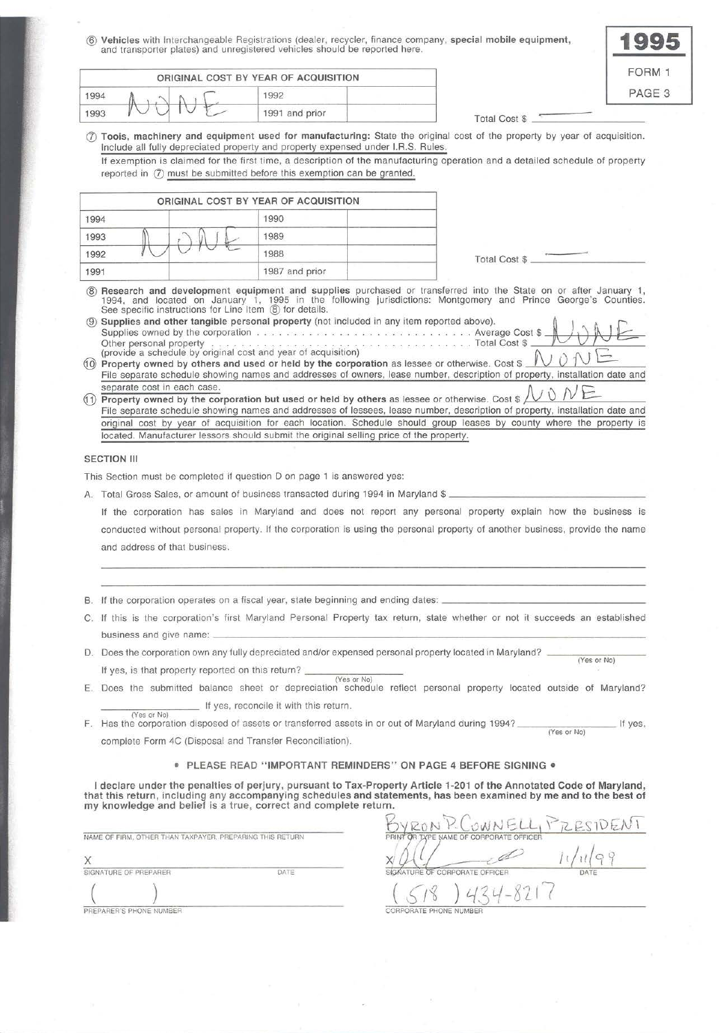® **Vehicles** with Interchangeable Registrations (dealer, recycler, finance company, **special mobile equipment,**  and transporter plates) and unregistered vehicles should be reported here.

|      |            | ORIGINAL COST BY YEAR OF ACQUISITION |                      | F(           |
|------|------------|--------------------------------------|----------------------|--------------|
| 1994 |            | 1992                                 |                      | $\mathsf{P}$ |
| 1993 | $\tilde{}$ | 1991 and prior                       | <b>Total Cost \$</b> |              |

| ORM<br>Ł<br>ı. |
|----------------|
|                |

*(!;* **Toois, machinery and equipment used for manufacturing:** State the original cost of the property by year of acquisition. Include all fully depreciated property and property expensed under l.R.S. Rules.

If exemption is claimed for the first time, a description of the manufacturing operation and a detailed schedule of property reported in  $(7)$  must be submitted before this exemption can be granted.

|      |        | ORIGINAL COST BY YEAR OF ACQUISITION |                      |
|------|--------|--------------------------------------|----------------------|
| 1994 |        | 1990                                 |                      |
| 1993 | $\sim$ | 1989                                 |                      |
| 1992 |        | 1988                                 | <b>Total Cost \$</b> |
| 1991 |        | 1987 and prior                       |                      |

® **Research and development equipment and supplies** purchased or transferred into the State on or after January 1, 1994, and located on January 1, 1995 in the following jurisdictions: Montgomery and Prince George's Counties. See specific instructions for Line Item ® for details.

® **Supplies and other tangible personal property** (not included in any item reported above). ~ ) ~ ~ Supplies owned by the corporation ......... ...... .... ... ....... Average Cost \$ f::J' 0 fvl ~ Other personal property ................................... Total Cost\$ \_ \_\_,~-~~-~---

- (i) Property owned by others and used or held by the corporation as lessee or otherwise. Cost \$ File separate schedule showing names and addresses of owners, lease number, description of property, installation date and separate cost in each case.<br>Separate cost in each case.
- **1) Property owned by the corporation but used or held by others** as lessee or otherwise. Cost \$  $\sqrt{V}$ File separate schedule showing names and addresses of lessees, lease number, description of property, installation date and original cost by year of acquisition for each location. Schedule should group leases by county where the property is located. Manufacturer lessors should submit the original selling price of the property.

#### **SECTION III**

This Section must be completed if question D on page 1 is answered yes:

A. Total Gross Sales, or amount of business transacted during 1994 in Maryland \$ \_

If the corporation has sales in Maryland and does not report any personal property explain how the business is conducted without personal property. If the corporation is using the personal property of another business, provide the name and address of that business.

- B. If the corporation operates on a fiscal year, state beginning and ending dates:
- C. If this is the corporation's first Maryland Personal Property tax return, state whether or not it succeeds an established business and give name:
- D. Does the corporation own any fully depreciated and/or expensed personal property located in Maryland?  $-$ (Yes or No) If yes, is that property reported on this return?  $\frac{1}{(Y \cos \alpha)^{1/2}}$
- E. Does the submitted balance sheet or depreciation schedule reflect personal property located outside of Maryland? If yes, reconcile it with this return.
- (Yes or No) F. Has the corporation disposed of assets or transferred assets in or out of Maryland during 1994? \_\_\_\_\_\_\_\_\_\_\_\_\_\_\_\_\_\_\_\_\_\_ If yes, complete Form 4C (Disposal and Transfer Reconciliation).

#### • **PLEASE READ "IMPORTANT REMINDERS" ON PAGE 4 BEFORE SIGNING** •

I declare under the penalties of perjury, pursuant to Tax-Property Article 1-201 of the Annotated Code of Maryland, **that this return , including any accompanying schedules and statements, has been examined by me and to the best of my knowledge and belief is a true, correct and complete return.** 

| NAME OF FIRM, OTHER THAN TAXPAYER, PREPARING THIS RETURN |      | and the state of the con-<br>.<br>OR TXPE NAME OF CORPORATE OFFICER<br>PRINT |      |
|----------------------------------------------------------|------|------------------------------------------------------------------------------|------|
|                                                          |      |                                                                              |      |
| SIGNATURE OF PREPARER                                    | DATE | SIGNATURE OF CORPORATE OFFICER                                               | DATE |
|                                                          |      |                                                                              |      |
| PREPARER'S PHONE NUMBER                                  |      | CORPORATE PHONE NUMBER                                                       |      |

OWNELL PRESIDENT